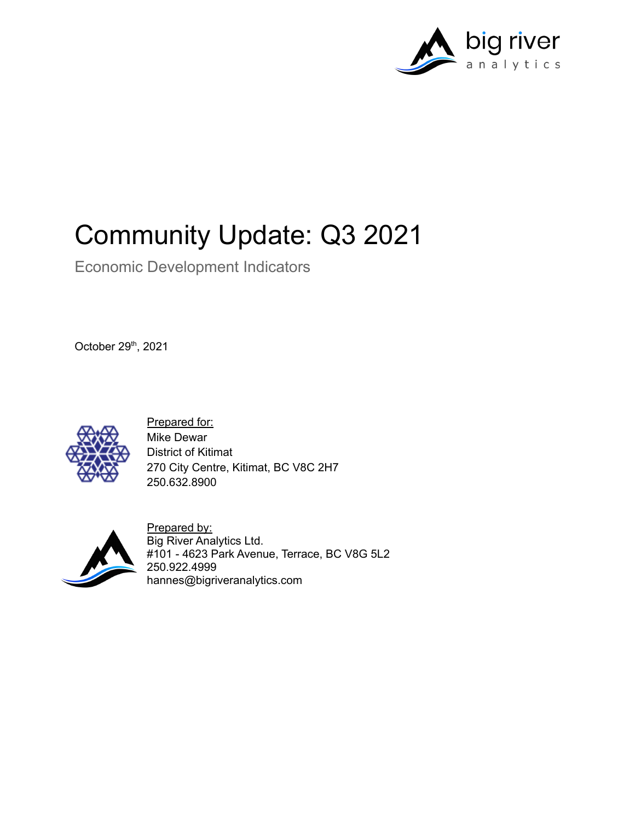

# Community Update: Q3 2021

Economic Development Indicators

October 29<sup>th</sup>, 2021



Prepared for: Mike Dewar District of Kitimat 270 City Centre, Kitimat, BC V8C 2H7 250.632.8900



Prepared by: Big River Analytics Ltd. #101 - 4623 Park Avenue, Terrace, BC V8G 5L2 250.922.4999 hannes@bigriveranalytics.com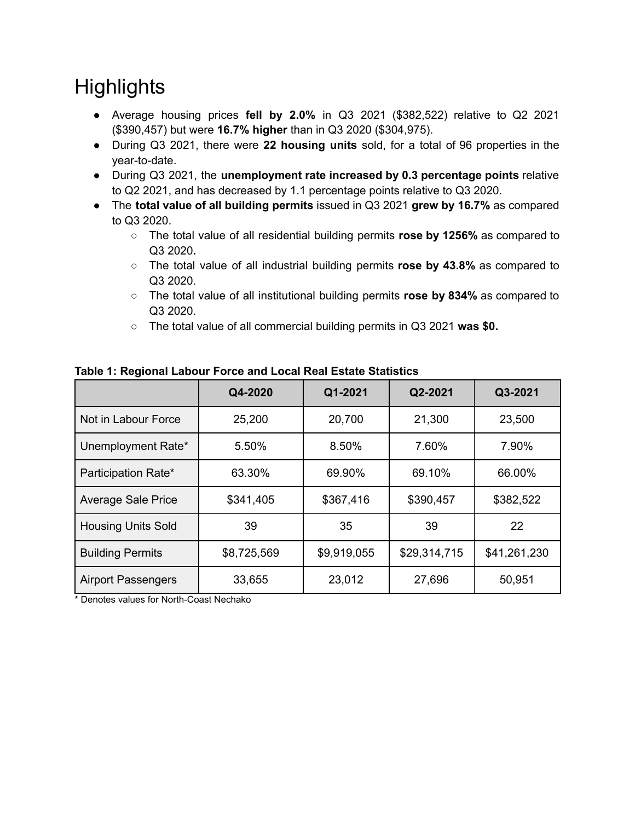## **Highlights**

- Average housing prices **fell by 2.0%** in Q3 2021 (\$382,522) relative to Q2 2021 (\$390,457) but were **16.7% higher** than in Q3 2020 (\$304,975).
- During Q3 2021, there were **22 housing units** sold, for a total of 96 properties in the year-to-date.
- During Q3 2021, the **unemployment rate increased by 0.3 percentage points** relative to Q2 2021, and has decreased by 1.1 percentage points relative to Q3 2020.
- The **total value of all building permits** issued in Q3 2021 **grew by 16.7%** as compared to Q3 2020.
	- The total value of all residential building permits **rose by 1256%** as compared to Q3 2020**.**
	- The total value of all industrial building permits **rose by 43.8%** as compared to Q3 2020.
	- The total value of all institutional building permits **rose by 834%** as compared to Q3 2020.
	- The total value of all commercial building permits in Q3 2021 **was \$0.**

|                           | Q4-2020     | Q1-2021     | Q2-2021      | Q3-2021      |
|---------------------------|-------------|-------------|--------------|--------------|
| Not in Labour Force       | 25,200      | 20,700      | 21,300       | 23,500       |
| Unemployment Rate*        | 5.50%       | 8.50%       | 7.60%        | 7.90%        |
| Participation Rate*       | 63.30%      | 69.90%      | 69.10%       | 66.00%       |
| <b>Average Sale Price</b> | \$341,405   | \$367,416   | \$390,457    | \$382,522    |
| <b>Housing Units Sold</b> | 39          | 35          | 39           | 22           |
| <b>Building Permits</b>   | \$8,725,569 | \$9,919,055 | \$29,314,715 | \$41,261,230 |
| <b>Airport Passengers</b> | 33,655      | 23,012      | 27,696       | 50,951       |

**Table 1: Regional Labour Force and Local Real Estate Statistics**

\* Denotes values for North-Coast Nechako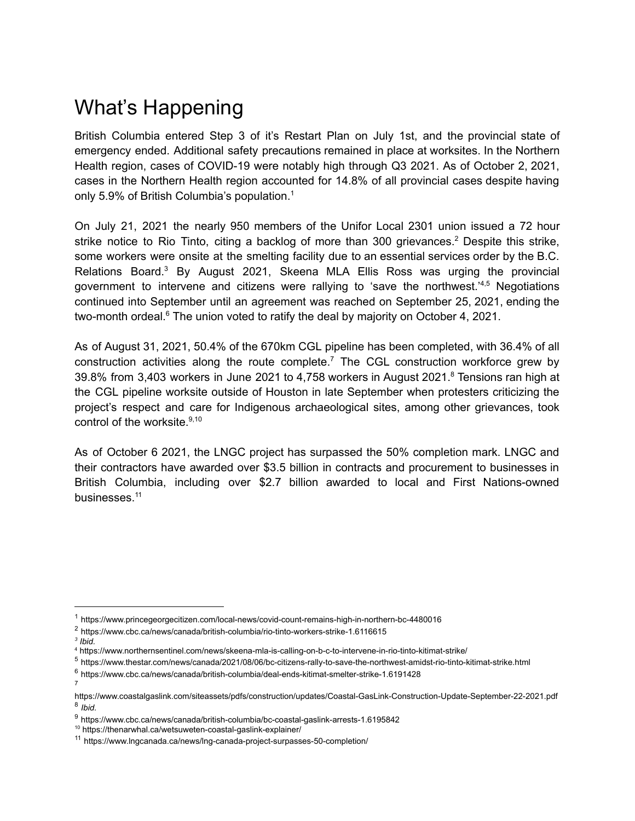### What's Happening

British Columbia entered Step 3 of it's Restart Plan on July 1st, and the provincial state of emergency ended. Additional safety precautions remained in place at worksites. In the Northern Health region, cases of COVID-19 were notably high through Q3 2021. As of October 2, 2021, cases in the Northern Health region accounted for 14.8% of all provincial cases despite having only 5.9% of British Columbia's population. 1

On July 21, 2021 the nearly 950 members of the Unifor Local 2301 union issued a 72 hour strike notice to Rio Tinto, citing a backlog of more than 300 grievances.<sup>2</sup> Despite this strike, some workers were onsite at the smelting facility due to an essential services order by the B.C. Relations Board.<sup>3</sup> By August 2021, Skeena MLA Ellis Ross was urging the provincial government to intervene and citizens were rallying to 'save the northwest.<sup>14,5</sup> Negotiations continued into September until an agreement was reached on September 25, 2021, ending the two-month ordeal.<sup>6</sup> The union voted to ratify the deal by majority on October 4, 2021.

As of August 31, 2021, 50.4% of the 670km CGL pipeline has been completed, with 36.4% of all construction activities along the route complete.<sup>7</sup> The CGL construction workforce grew by 39.8% from 3,403 workers in June 2021 to 4,758 workers in August 2021. <sup>8</sup> Tensions ran high at the CGL pipeline worksite outside of Houston in late September when protesters criticizing the project's respect and care for Indigenous archaeological sites, among other grievances, took control of the worksite. 9,10

As of October 6 2021, the LNGC project has surpassed the 50% completion mark. LNGC and their contractors have awarded over \$3.5 billion in contracts and procurement to businesses in British Columbia, including over \$2.7 billion awarded to local and First Nations-owned businesses. 11

- <sup>2</sup> https://www.cbc.ca/news/canada/british-columbia/rio-tinto-workers-strike-1.6116615
- *3 Ibid.*

7

<sup>6</sup> https://www.cbc.ca/news/canada/british-columbia/deal-ends-kitimat-smelter-strike-1.6191428

<sup>1</sup> https://www.princegeorgecitizen.com/local-news/covid-count-remains-high-in-northern-bc-4480016

<sup>4</sup> https://www.northernsentinel.com/news/skeena-mla-is-calling-on-b-c-to-intervene-in-rio-tinto-kitimat-strike/

<sup>5</sup> https://www.thestar.com/news/canada/2021/08/06/bc-citizens-rally-to-save-the-northwest-amidst-rio-tinto-kitimat-strike.html

<sup>8</sup> *Ibid.* https://www.coastalgaslink.com/siteassets/pdfs/construction/updates/Coastal-GasLink-Construction-Update-September-22-2021.pdf

<sup>9</sup> https://www.cbc.ca/news/canada/british-columbia/bc-coastal-gaslink-arrests-1.6195842

<sup>10</sup> https://thenarwhal.ca/wetsuweten-coastal-gaslink-explainer/

<sup>11</sup> https://www.lngcanada.ca/news/lng-canada-project-surpasses-50-completion/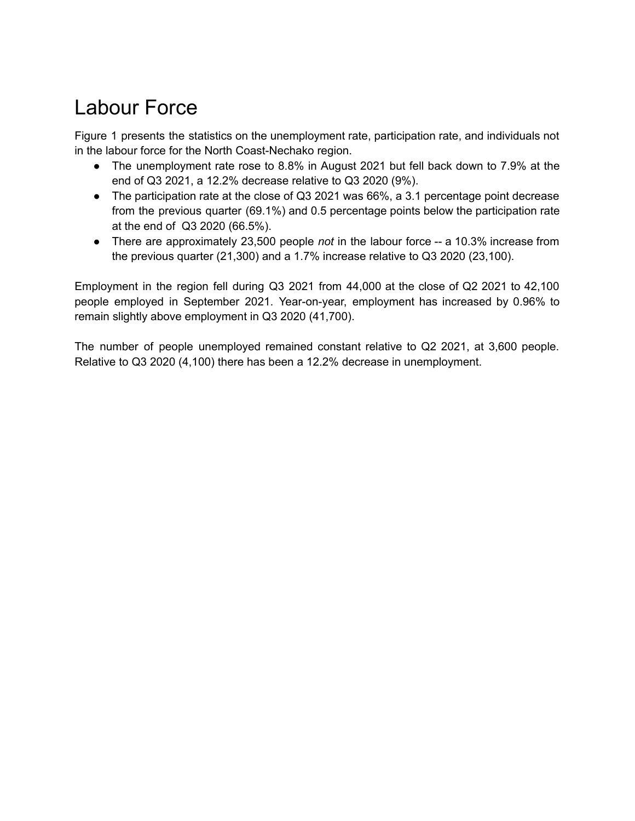### Labour Force

Figure 1 presents the statistics on the unemployment rate, participation rate, and individuals not in the labour force for the North Coast-Nechako region.

- The unemployment rate rose to 8.8% in August 2021 but fell back down to 7.9% at the end of Q3 2021, a 12.2% decrease relative to Q3 2020 (9%).
- The participation rate at the close of Q3 2021 was 66%, a 3.1 percentage point decrease from the previous quarter (69.1%) and 0.5 percentage points below the participation rate at the end of Q3 2020 (66.5%).
- There are approximately 23,500 people *not* in the labour force -- a 10.3% increase from the previous quarter (21,300) and a 1.7% increase relative to Q3 2020 (23,100).

Employment in the region fell during Q3 2021 from 44,000 at the close of Q2 2021 to 42,100 people employed in September 2021. Year-on-year, employment has increased by 0.96% to remain slightly above employment in Q3 2020 (41,700).

The number of people unemployed remained constant relative to Q2 2021, at 3,600 people. Relative to Q3 2020 (4,100) there has been a 12.2% decrease in unemployment.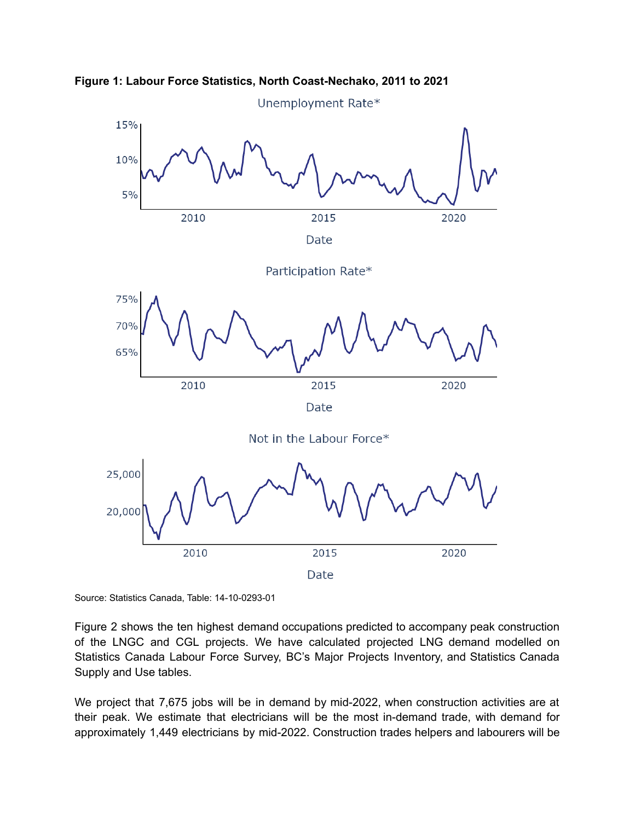



Source: Statistics Canada, Table: 14-10-0293-01

Figure 2 shows the ten highest demand occupations predicted to accompany peak construction of the LNGC and CGL projects. We have calculated projected LNG demand modelled on Statistics Canada Labour Force Survey, BC's Major Projects Inventory, and Statistics Canada Supply and Use tables.

We project that 7,675 jobs will be in demand by mid-2022, when construction activities are at their peak. We estimate that electricians will be the most in-demand trade, with demand for approximately 1,449 electricians by mid-2022. Construction trades helpers and labourers will be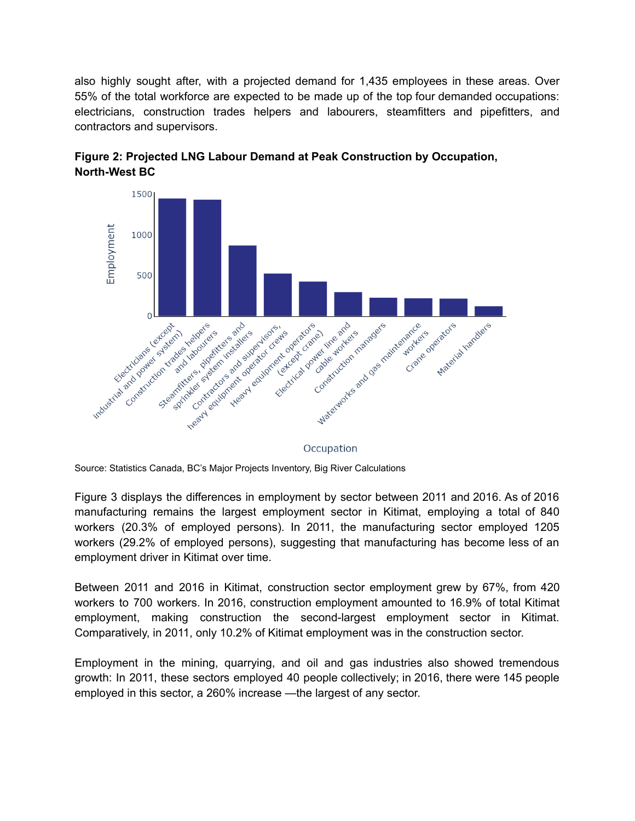also highly sought after, with a projected demand for 1,435 employees in these areas. Over 55% of the total workforce are expected to be made up of the top four demanded occupations: electricians, construction trades helpers and labourers, steamfitters and pipefitters, and contractors and supervisors.



**Figure 2: Projected LNG Labour Demand at Peak Construction by Occupation, North-West BC**

Occupation

Source: Statistics Canada, BC's Major Projects Inventory, Big River Calculations

Figure 3 displays the differences in employment by sector between 2011 and 2016. As of 2016 manufacturing remains the largest employment sector in Kitimat, employing a total of 840 workers (20.3% of employed persons). In 2011, the manufacturing sector employed 1205 workers (29.2% of employed persons), suggesting that manufacturing has become less of an employment driver in Kitimat over time.

Between 2011 and 2016 in Kitimat, construction sector employment grew by 67%, from 420 workers to 700 workers. In 2016, construction employment amounted to 16.9% of total Kitimat employment, making construction the second-largest employment sector in Kitimat. Comparatively, in 2011, only 10.2% of Kitimat employment was in the construction sector.

Employment in the mining, quarrying, and oil and gas industries also showed tremendous growth: In 2011, these sectors employed 40 people collectively; in 2016, there were 145 people employed in this sector, a 260% increase —the largest of any sector.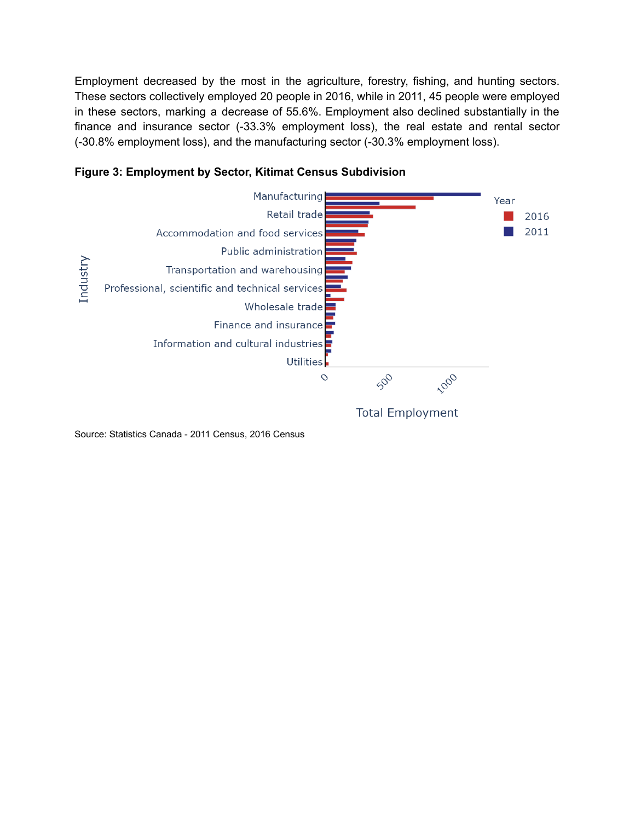Employment decreased by the most in the agriculture, forestry, fishing, and hunting sectors. These sectors collectively employed 20 people in 2016, while in 2011, 45 people were employed in these sectors, marking a decrease of 55.6%. Employment also declined substantially in the finance and insurance sector (-33.3% employment loss), the real estate and rental sector (-30.8% employment loss), and the manufacturing sector (-30.3% employment loss).



**Figure 3: Employment by Sector, Kitimat Census Subdivision**

Source: Statistics Canada - 2011 Census, 2016 Census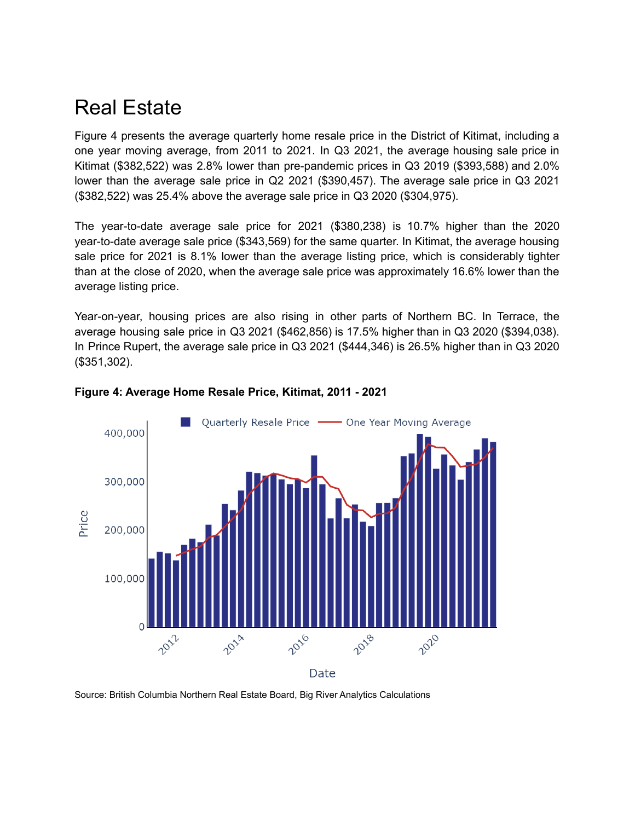### Real Estate

Figure 4 presents the average quarterly home resale price in the District of Kitimat, including a one year moving average, from 2011 to 2021. In Q3 2021, the average housing sale price in Kitimat (\$382,522) was 2.8% lower than pre-pandemic prices in Q3 2019 (\$393,588) and 2.0% lower than the average sale price in Q2 2021 (\$390,457). The average sale price in Q3 2021 (\$382,522) was 25.4% above the average sale price in Q3 2020 (\$304,975).

The year-to-date average sale price for 2021 (\$380,238) is 10.7% higher than the 2020 year-to-date average sale price (\$343,569) for the same quarter. In Kitimat, the average housing sale price for 2021 is 8.1% lower than the average listing price, which is considerably tighter than at the close of 2020, when the average sale price was approximately 16.6% lower than the average listing price.

Year-on-year, housing prices are also rising in other parts of Northern BC. In Terrace, the average housing sale price in Q3 2021 (\$462,856) is 17.5% higher than in Q3 2020 (\$394,038). In Prince Rupert, the average sale price in Q3 2021 (\$444,346) is 26.5% higher than in Q3 2020 (\$351,302).



#### **Figure 4: Average Home Resale Price, Kitimat, 2011 - 2021**

Source: British Columbia Northern Real Estate Board, Big River Analytics Calculations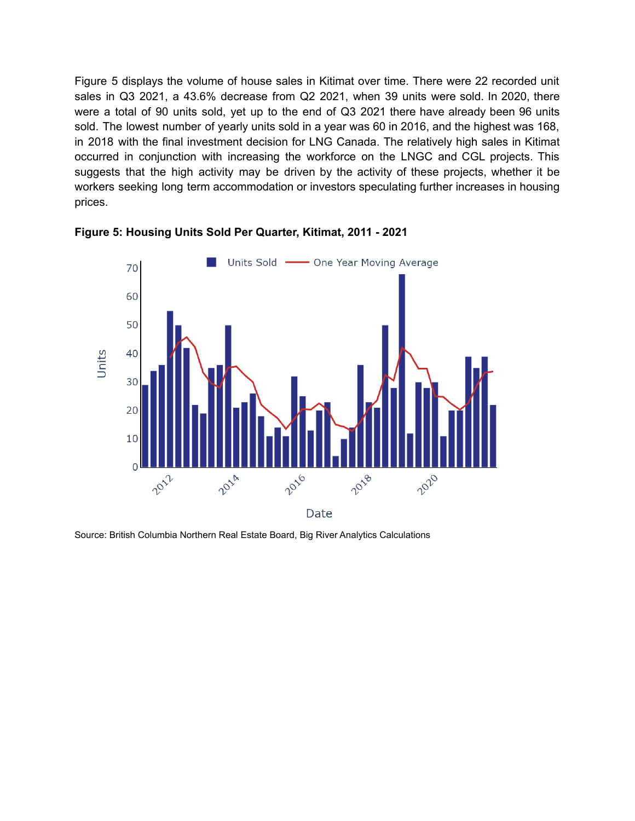Figure 5 displays the volume of house sales in Kitimat over time. There were 22 recorded unit sales in Q3 2021, a 43.6% decrease from Q2 2021, when 39 units were sold. In 2020, there were a total of 90 units sold, yet up to the end of Q3 2021 there have already been 96 units sold. The lowest number of yearly units sold in a year was 60 in 2016, and the highest was 168, in 2018 with the final investment decision for LNG Canada. The relatively high sales in Kitimat occurred in conjunction with increasing the workforce on the LNGC and CGL projects. This suggests that the high activity may be driven by the activity of these projects, whether it be workers seeking long term accommodation or investors speculating further increases in housing prices.



**Figure 5: Housing Units Sold Per Quarter, Kitimat, 2011 - 2021**

Source: British Columbia Northern Real Estate Board, Big River Analytics Calculations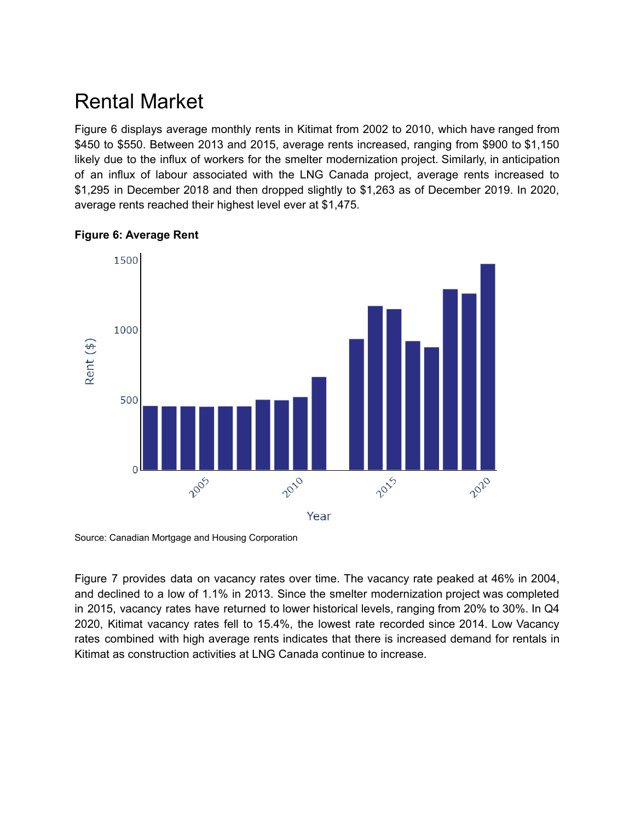### Rental Market

Figure 6 displays average monthly rents in Kitimat from 2002 to 2010, which have ranged from \$450 to \$550. Between 2013 and 2015, average rents increased, ranging from \$900 to \$1,150 likely due to the influx of workers for the smelter modernization project. Similarly, in anticipation of an influx of labour associated with the LNG Canada project, average rents increased to \$1,295 in December 2018 and then dropped slightly to \$1,263 as of December 2019. In 2020, average rents reached their highest level ever at \$1,475.



#### **Figure 6: Average Rent**

Source: Canadian Mortgage and Housing Corporation

Figure 7 provides data on vacancy rates over time. The vacancy rate peaked at 46% in 2004, and declined to a low of 1.1% in 2013. Since the smelter modernization project was completed in 2015, vacancy rates have returned to lower historical levels, ranging from 20% to 30%. In Q4 2020, Kitimat vacancy rates fell to 15.4%, the lowest rate recorded since 2014. Low Vacancy rates combined with high average rents indicates that there is increased demand for rentals in Kitimat as construction activities at LNG Canada continue to increase.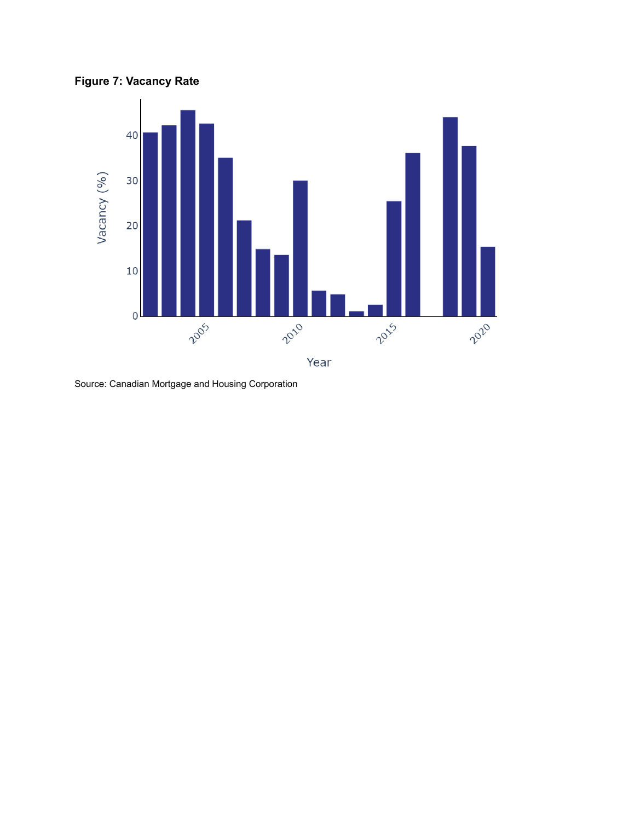**Figure 7: Vacancy Rate**



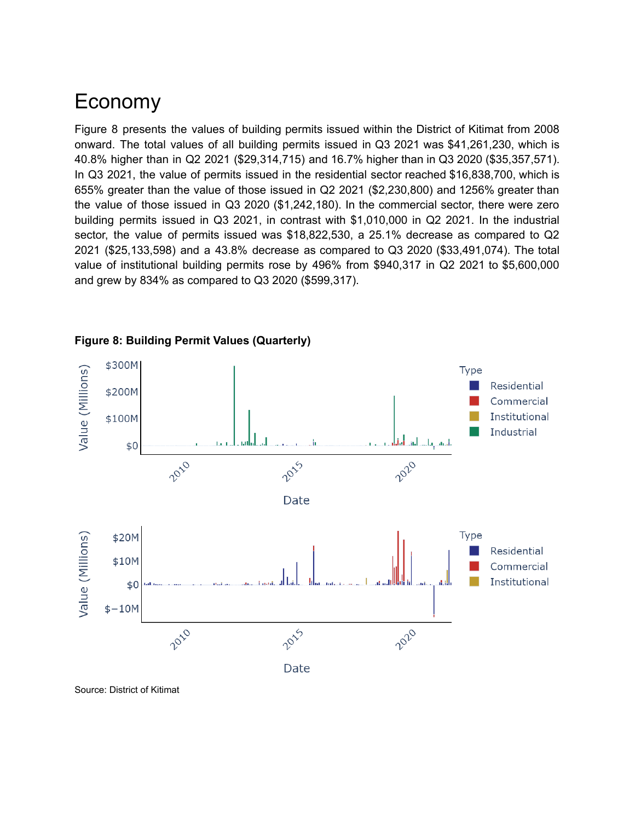#### Economy

Figure 8 presents the values of building permits issued within the District of Kitimat from 2008 onward. The total values of all building permits issued in Q3 2021 was \$41,261,230, which is 40.8% higher than in Q2 2021 (\$29,314,715) and 16.7% higher than in Q3 2020 (\$35,357,571). In Q3 2021, the value of permits issued in the residential sector reached \$16,838,700, which is 655% greater than the value of those issued in Q2 2021 (\$2,230,800) and 1256% greater than the value of those issued in Q3 2020 (\$1,242,180). In the commercial sector, there were zero building permits issued in Q3 2021, in contrast with \$1,010,000 in Q2 2021. In the industrial sector, the value of permits issued was \$18,822,530, a 25.1% decrease as compared to Q2 2021 (\$25,133,598) and a 43.8% decrease as compared to Q3 2020 (\$33,491,074). The total value of institutional building permits rose by 496% from \$940,317 in Q2 2021 to \$5,600,000 and grew by 834% as compared to Q3 2020 (\$599,317).



#### **Figure 8: Building Permit Values (Quarterly)**

Source: District of Kitimat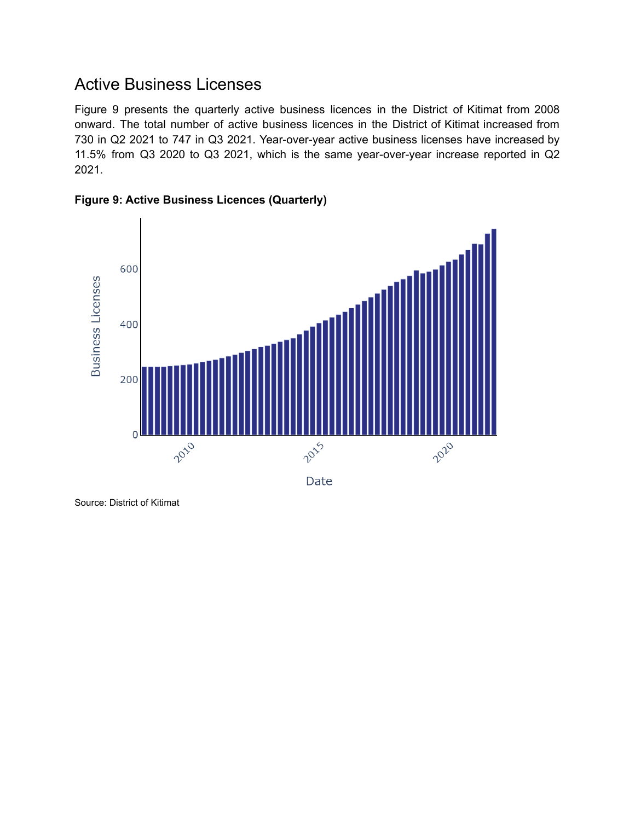#### Active Business Licenses

Figure 9 presents the quarterly active business licences in the District of Kitimat from 2008 onward. The total number of active business licences in the District of Kitimat increased from 730 in Q2 2021 to 747 in Q3 2021. Year-over-year active business licenses have increased by 11.5% from Q3 2020 to Q3 2021, which is the same year-over-year increase reported in Q2 2021.





Source: District of Kitimat